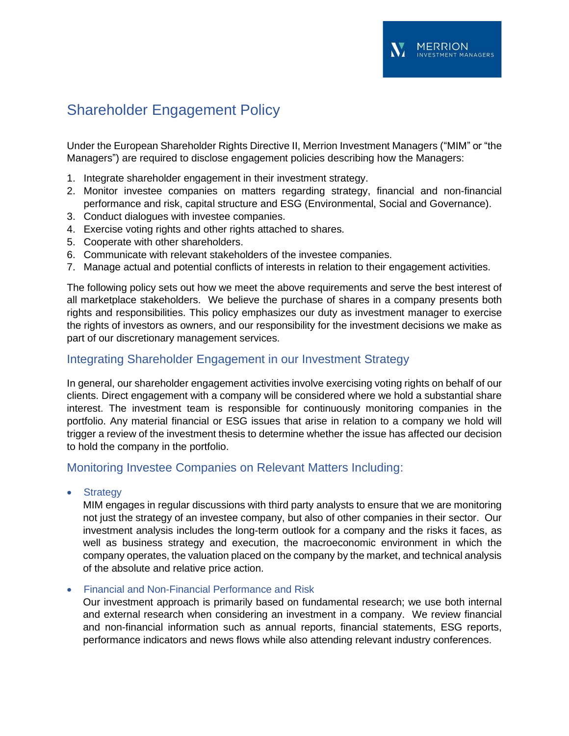Under the European Shareholder Rights Directive II, Merrion Investment Managers ("MIM" or "the Managers") are required to disclose engagement policies describing how the Managers:

**MERRION** 

**IFNT MANAGERS** 

- 1. Integrate shareholder engagement in their investment strategy.
- 2. Monitor investee companies on matters regarding strategy, financial and non-financial performance and risk, capital structure and ESG (Environmental, Social and Governance).
- 3. Conduct dialogues with investee companies.
- 4. Exercise voting rights and other rights attached to shares.
- 5. Cooperate with other shareholders.
- 6. Communicate with relevant stakeholders of the investee companies.
- 7. Manage actual and potential conflicts of interests in relation to their engagement activities.

The following policy sets out how we meet the above requirements and serve the best interest of all marketplace stakeholders. We believe the purchase of shares in a company presents both rights and responsibilities. This policy emphasizes our duty as investment manager to exercise the rights of investors as owners, and our responsibility for the investment decisions we make as part of our discretionary management services.

## Integrating Shareholder Engagement in our Investment Strategy

In general, our shareholder engagement activities involve exercising voting rights on behalf of our clients. Direct engagement with a company will be considered where we hold a substantial share interest. The investment team is responsible for continuously monitoring companies in the portfolio. Any material financial or ESG issues that arise in relation to a company we hold will trigger a review of the investment thesis to determine whether the issue has affected our decision to hold the company in the portfolio.

## Monitoring Investee Companies on Relevant Matters Including:

• Strategy

MIM engages in regular discussions with third party analysts to ensure that we are monitoring not just the strategy of an investee company, but also of other companies in their sector. Our investment analysis includes the long-term outlook for a company and the risks it faces, as well as business strategy and execution, the macroeconomic environment in which the company operates, the valuation placed on the company by the market, and technical analysis of the absolute and relative price action.

#### • Financial and Non-Financial Performance and Risk

Our investment approach is primarily based on fundamental research; we use both internal and external research when considering an investment in a company. We review financial and non-financial information such as annual reports, financial statements, ESG reports, performance indicators and news flows while also attending relevant industry conferences.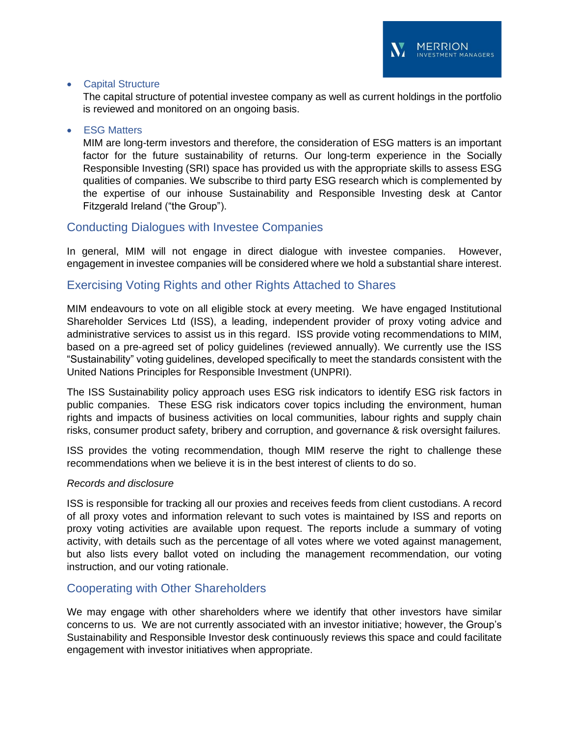### • Capital Structure

The capital structure of potential investee company as well as current holdings in the portfolio is reviewed and monitored on an ongoing basis.

### **ESG Matters**

MIM are long-term investors and therefore, the consideration of ESG matters is an important factor for the future sustainability of returns. Our long-term experience in the Socially Responsible Investing (SRI) space has provided us with the appropriate skills to assess ESG qualities of companies. We subscribe to third party ESG research which is complemented by the expertise of our inhouse Sustainability and Responsible Investing desk at Cantor Fitzgerald Ireland ("the Group").

## Conducting Dialogues with Investee Companies

In general, MIM will not engage in direct dialogue with investee companies. However, engagement in investee companies will be considered where we hold a substantial share interest.

## Exercising Voting Rights and other Rights Attached to Shares

MIM endeavours to vote on all eligible stock at every meeting. We have engaged Institutional Shareholder Services Ltd (ISS), a leading, independent provider of proxy voting advice and administrative services to assist us in this regard. ISS provide voting recommendations to MIM, based on a pre-agreed set of policy guidelines (reviewed annually). We currently use the ISS "Sustainability" voting guidelines, developed specifically to meet the standards consistent with the United Nations Principles for Responsible Investment (UNPRI).

The ISS Sustainability policy approach uses ESG risk indicators to identify ESG risk factors in public companies. These ESG risk indicators cover topics including the environment, human rights and impacts of business activities on local communities, labour rights and supply chain risks, consumer product safety, bribery and corruption, and governance & risk oversight failures.

ISS provides the voting recommendation, though MIM reserve the right to challenge these recommendations when we believe it is in the best interest of clients to do so.

#### *Records and disclosure*

ISS is responsible for tracking all our proxies and receives feeds from client custodians. A record of all proxy votes and information relevant to such votes is maintained by ISS and reports on proxy voting activities are available upon request. The reports include a summary of voting activity, with details such as the percentage of all votes where we voted against management, but also lists every ballot voted on including the management recommendation, our voting instruction, and our voting rationale.

## Cooperating with Other Shareholders

We may engage with other shareholders where we identify that other investors have similar concerns to us. We are not currently associated with an investor initiative; however, the Group's Sustainability and Responsible Investor desk continuously reviews this space and could facilitate engagement with investor initiatives when appropriate.